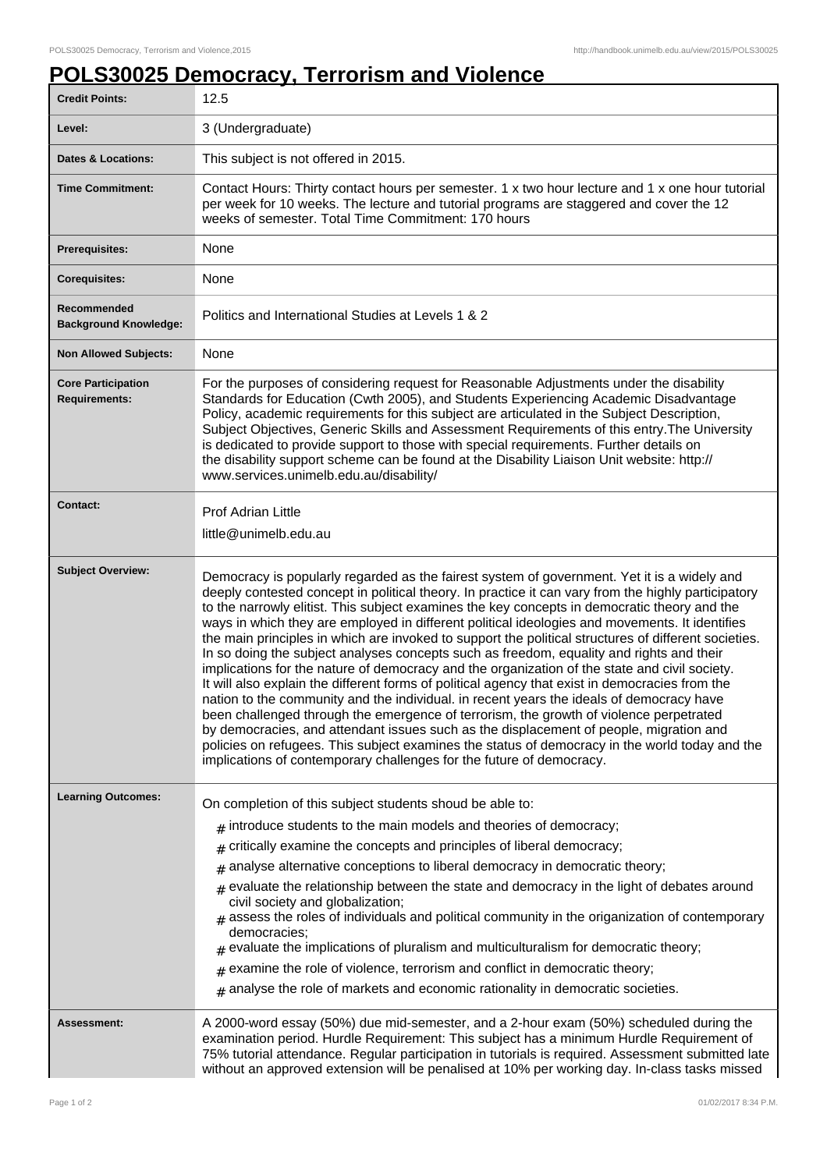## **POLS30025 Democracy, Terrorism and Violence**

| <b>Credit Points:</b>                             | 12.5                                                                                                                                                                                                                                                                                                                                                                                                                                                                                                                                                                                                                                                                                                                                                                                                                                                                                                                                                                                                                                                                                                                                                                                                                                                                   |
|---------------------------------------------------|------------------------------------------------------------------------------------------------------------------------------------------------------------------------------------------------------------------------------------------------------------------------------------------------------------------------------------------------------------------------------------------------------------------------------------------------------------------------------------------------------------------------------------------------------------------------------------------------------------------------------------------------------------------------------------------------------------------------------------------------------------------------------------------------------------------------------------------------------------------------------------------------------------------------------------------------------------------------------------------------------------------------------------------------------------------------------------------------------------------------------------------------------------------------------------------------------------------------------------------------------------------------|
| Level:                                            | 3 (Undergraduate)                                                                                                                                                                                                                                                                                                                                                                                                                                                                                                                                                                                                                                                                                                                                                                                                                                                                                                                                                                                                                                                                                                                                                                                                                                                      |
| <b>Dates &amp; Locations:</b>                     | This subject is not offered in 2015.                                                                                                                                                                                                                                                                                                                                                                                                                                                                                                                                                                                                                                                                                                                                                                                                                                                                                                                                                                                                                                                                                                                                                                                                                                   |
| <b>Time Commitment:</b>                           | Contact Hours: Thirty contact hours per semester. 1 x two hour lecture and 1 x one hour tutorial<br>per week for 10 weeks. The lecture and tutorial programs are staggered and cover the 12<br>weeks of semester. Total Time Commitment: 170 hours                                                                                                                                                                                                                                                                                                                                                                                                                                                                                                                                                                                                                                                                                                                                                                                                                                                                                                                                                                                                                     |
| <b>Prerequisites:</b>                             | None                                                                                                                                                                                                                                                                                                                                                                                                                                                                                                                                                                                                                                                                                                                                                                                                                                                                                                                                                                                                                                                                                                                                                                                                                                                                   |
| <b>Corequisites:</b>                              | None                                                                                                                                                                                                                                                                                                                                                                                                                                                                                                                                                                                                                                                                                                                                                                                                                                                                                                                                                                                                                                                                                                                                                                                                                                                                   |
| Recommended<br><b>Background Knowledge:</b>       | Politics and International Studies at Levels 1 & 2                                                                                                                                                                                                                                                                                                                                                                                                                                                                                                                                                                                                                                                                                                                                                                                                                                                                                                                                                                                                                                                                                                                                                                                                                     |
| <b>Non Allowed Subjects:</b>                      | None                                                                                                                                                                                                                                                                                                                                                                                                                                                                                                                                                                                                                                                                                                                                                                                                                                                                                                                                                                                                                                                                                                                                                                                                                                                                   |
| <b>Core Participation</b><br><b>Requirements:</b> | For the purposes of considering request for Reasonable Adjustments under the disability<br>Standards for Education (Cwth 2005), and Students Experiencing Academic Disadvantage<br>Policy, academic requirements for this subject are articulated in the Subject Description,<br>Subject Objectives, Generic Skills and Assessment Requirements of this entry. The University<br>is dedicated to provide support to those with special requirements. Further details on<br>the disability support scheme can be found at the Disability Liaison Unit website: http://<br>www.services.unimelb.edu.au/disability/                                                                                                                                                                                                                                                                                                                                                                                                                                                                                                                                                                                                                                                       |
| <b>Contact:</b>                                   | <b>Prof Adrian Little</b><br>little@unimelb.edu.au                                                                                                                                                                                                                                                                                                                                                                                                                                                                                                                                                                                                                                                                                                                                                                                                                                                                                                                                                                                                                                                                                                                                                                                                                     |
| <b>Subject Overview:</b>                          | Democracy is popularly regarded as the fairest system of government. Yet it is a widely and<br>deeply contested concept in political theory. In practice it can vary from the highly participatory<br>to the narrowly elitist. This subject examines the key concepts in democratic theory and the<br>ways in which they are employed in different political ideologies and movements. It identifies<br>the main principles in which are invoked to support the political structures of different societies.<br>In so doing the subject analyses concepts such as freedom, equality and rights and their<br>implications for the nature of democracy and the organization of the state and civil society.<br>It will also explain the different forms of political agency that exist in democracies from the<br>nation to the community and the individual. in recent years the ideals of democracy have<br>been challenged through the emergence of terrorism, the growth of violence perpetrated<br>by democracies, and attendant issues such as the displacement of people, migration and<br>policies on refugees. This subject examines the status of democracy in the world today and the<br>implications of contemporary challenges for the future of democracy. |
| <b>Learning Outcomes:</b>                         | On completion of this subject students shoud be able to:<br>introduce students to the main models and theories of democracy;<br>#<br>critically examine the concepts and principles of liberal democracy;<br>#<br>analyse alternative conceptions to liberal democracy in democratic theory;<br>#<br>evaluate the relationship between the state and democracy in the light of debates around<br>#<br>civil society and globalization;<br>assess the roles of individuals and political community in the origanization of contemporary<br>democracies:<br>evaluate the implications of pluralism and multiculturalism for democratic theory;<br>#<br>examine the role of violence, terrorism and conflict in democratic theory;<br>#<br>$*$ analyse the role of markets and economic rationality in democratic societies.                                                                                                                                                                                                                                                                                                                                                                                                                                              |
| Assessment:                                       | A 2000-word essay (50%) due mid-semester, and a 2-hour exam (50%) scheduled during the<br>examination period. Hurdle Requirement: This subject has a minimum Hurdle Requirement of<br>75% tutorial attendance. Regular participation in tutorials is required. Assessment submitted late<br>without an approved extension will be penalised at 10% per working day. In-class tasks missed                                                                                                                                                                                                                                                                                                                                                                                                                                                                                                                                                                                                                                                                                                                                                                                                                                                                              |